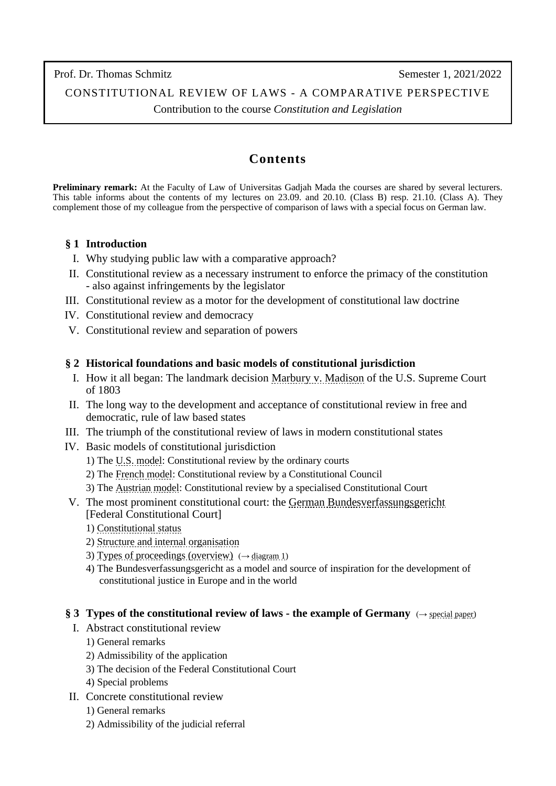Prof. Dr. Thomas Schmitz Semester 1, 2021/2022

# CONSTITUTIONAL REVIEW OF LAWS - A COMPARATIVE PERSPECTIVE

Contribution to the course *Constitution and Legislation*

# **Contents**

**Preliminary remark:** At the Faculty of Law of Universitas Gadjah Mada the courses are shared by several lecturers. This table informs about the contents of my lectures on 23.09. and 20.10. (Class B) resp. 21.10. (Class A). They complement those of my colleague from the perspective of comparison of laws with a special focus on German law.

### **§ 1 Introduction**

- I. Why studying public law with a comparative approach?
- II. Constitutional review as a necessary instrument to enforce the primacy of the constitution - also against infringements by the legislator
- III. Constitutional review as a motor for the development of constitutional law doctrine
- IV. Constitutional review and democracy
- V. Constitutional review and separation of powers

### **§ 2 Historical foundations and basic models of constitutional jurisdiction**

- I. How it all began: The landmark decision [Marbury v. Madison](https://www.law.cornell.edu/supremecourt/text/5/137) of the U.S. Supreme Court of 1803
- II. The long way to the development and acceptance of constitutional review in free and democratic, rule of law based states
- III. The triumph of the constitutional review of laws in modern constitutional states
- IV. Basic models of constitutional jurisdiction
	- 1) The [U.S. model: Constitutional review by the ordinary courts](https://www.britannica.com/topic/constitutional-law/Judicial-review-in-the-United-States)
	- 2) The [French model: Constitutional review by a Constitutional Council](https://www.conseil-constitutionnel.fr/en/general-overview)
	- 3) The Austrian [model: Constitutional review by a specialised Constitutional Court](https://www.academia.edu/8365653/The_Constitutional_Court_of_Austria_Modern_Profiles_of_an_Archetype_of_Constitutional_Review_with_Anna_Gamper_)
- V. The most prominent constitutional court: the [German Bundesverfassungsgericht](https://www.bundesverfassungsgericht.de/EN/Homepage/home_node.html;jsessionid=FA0E387D838513D6B5533D9477F33CC9.2_cid394) [Federal Constitutional Court]
	- 1) [Constitutional status](https://www.bundesverfassungsgericht.de/EN/Das-Gericht/Gericht-und-Verfassungsorgan/gericht-und-verfassungsorgan_node.html)
	- 2) [Structure and internal organisation](https://www.bundesverfassungsgericht.de/EN/Das-Gericht/Organisation/organisation_node.html)
	- 3) Types [of proceedings \(overview\)](http://www.thomas-schmitz-yogyakarta.id/Downloads/Schmitz_Review-Mechanisms_diagram1.pdf)  $(\rightarrow$  diagram 1)
	- 4) The Bundesverfassungsgericht as a model and source of inspiration for the development of constitutional justice in Europe and in the world

#### **§ 3 Types of the constitutional review of laws - the example of Germany** (→ [special paper\)](http://www.iuspublicum-thomas-schmitz.uni-goettingen.de/Downloads/Schmitz_Constitutional-review-of-laws_Jakarta-2014.pdf)

- I. Abstract constitutional review
	- 1) General remarks
	- 2) Admissibility of the application
	- 3) The decision of the Federal Constitutional Court
	- 4) Special problems
- II. Concrete constitutional review
	- 1) General remarks
	- 2) Admissibility of the judicial referral